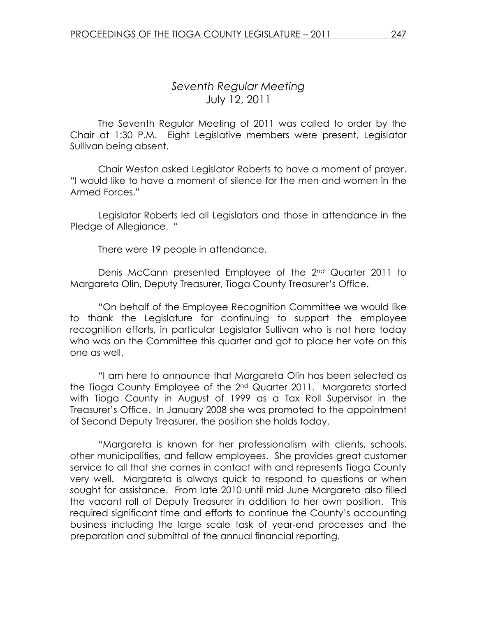# Seventh Regular Meeting July 12, 2011

 The Seventh Regular Meeting of 2011 was called to order by the Chair at 1:30 P.M. Eight Legislative members were present, Legislator Sullivan being absent.

Chair Weston asked Legislator Roberts to have a moment of prayer. "I would like to have a moment of silence for the men and women in the Armed Forces."

 Legislator Roberts led all Legislators and those in attendance in the Pledge of Allegiance. "

There were 19 people in attendance.

 Denis McCann presented Employee of the 2nd Quarter 2011 to Margareta Olin, Deputy Treasurer, Tioga County Treasurer's Office.

 "On behalf of the Employee Recognition Committee we would like to thank the Legislature for continuing to support the employee recognition efforts, in particular Legislator Sullivan who is not here today who was on the Committee this quarter and got to place her vote on this one as well.

 "I am here to announce that Margareta Olin has been selected as the Tioga County Employee of the 2<sup>nd</sup> Quarter 2011. Margareta started with Tioga County in August of 1999 as a Tax Roll Supervisor in the Treasurer's Office. In January 2008 she was promoted to the appointment of Second Deputy Treasurer, the position she holds today.

 "Margareta is known for her professionalism with clients, schools, other municipalities, and fellow employees. She provides great customer service to all that she comes in contact with and represents Tioga County very well. Margareta is always quick to respond to questions or when sought for assistance. From late 2010 until mid June Margareta also filled the vacant roll of Deputy Treasurer in addition to her own position. This required significant time and efforts to continue the County's accounting business including the large scale task of year-end processes and the preparation and submittal of the annual financial reporting.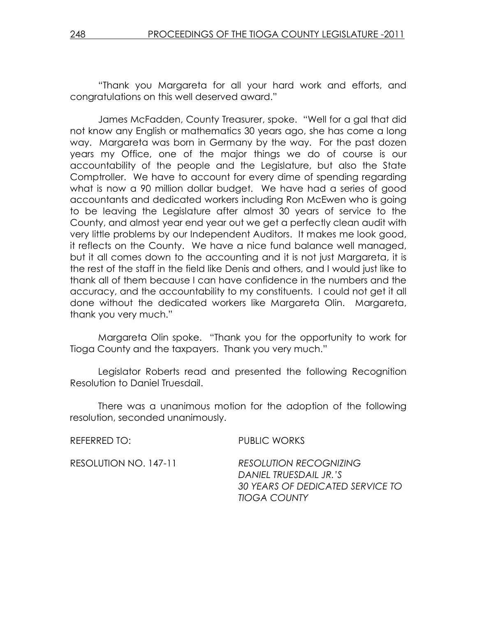"Thank you Margareta for all your hard work and efforts, and congratulations on this well deserved award."

 James McFadden, County Treasurer, spoke. "Well for a gal that did not know any English or mathematics 30 years ago, she has come a long way. Margareta was born in Germany by the way. For the past dozen years my Office, one of the major things we do of course is our accountability of the people and the Legislature, but also the State Comptroller. We have to account for every dime of spending regarding what is now a 90 million dollar budget. We have had a series of good accountants and dedicated workers including Ron McEwen who is going to be leaving the Legislature after almost 30 years of service to the County, and almost year end year out we get a perfectly clean audit with very little problems by our Independent Auditors. It makes me look good, it reflects on the County. We have a nice fund balance well managed, but it all comes down to the accounting and it is not just Margareta, it is the rest of the staff in the field like Denis and others, and I would just like to thank all of them because I can have confidence in the numbers and the accuracy, and the accountability to my constituents. I could not get it all done without the dedicated workers like Margareta Olin. Margareta, thank you very much."

 Margareta Olin spoke. "Thank you for the opportunity to work for Tioga County and the taxpayers. Thank you very much."

 Legislator Roberts read and presented the following Recognition Resolution to Daniel Truesdail.

 There was a unanimous motion for the adoption of the following resolution, seconded unanimously.

REFERRED TO: PUBLIC WORKS

RESOLUTION NO. 147-11 RESOLUTION RECOGNIZING DANIEL TRUESDAIL JR.'S 30 YEARS OF DEDICATED SERVICE TO TIOGA COUNTY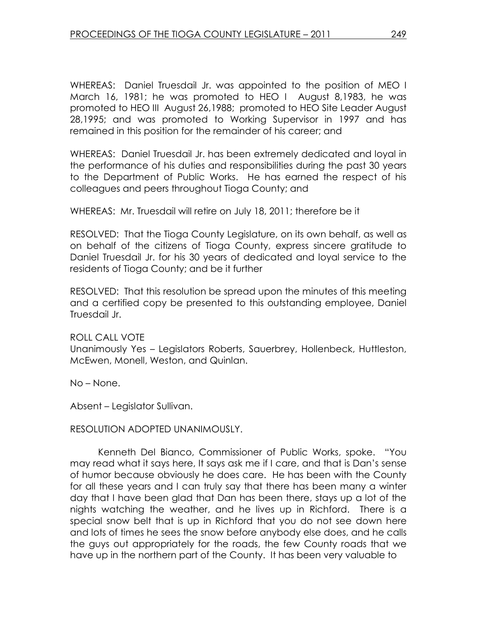WHEREAS: Daniel Truesdail Jr. was appointed to the position of MEO I March 16, 1981; he was promoted to HEO I August 8,1983, he was promoted to HEO III August 26,1988; promoted to HEO Site Leader August 28,1995; and was promoted to Working Supervisor in 1997 and has remained in this position for the remainder of his career; and

WHEREAS: Daniel Truesdail Jr. has been extremely dedicated and loyal in the performance of his duties and responsibilities during the past 30 years to the Department of Public Works. He has earned the respect of his colleagues and peers throughout Tioga County; and

WHEREAS: Mr. Truesdail will retire on July 18, 2011; therefore be it

RESOLVED: That the Tioga County Legislature, on its own behalf, as well as on behalf of the citizens of Tioga County, express sincere gratitude to Daniel Truesdail Jr. for his 30 years of dedicated and loyal service to the residents of Tioga County; and be it further

RESOLVED: That this resolution be spread upon the minutes of this meeting and a certified copy be presented to this outstanding employee, Daniel Truesdail Jr.

#### ROLL CALL VOTE

Unanimously Yes – Legislators Roberts, Sauerbrey, Hollenbeck, Huttleston, McEwen, Monell, Weston, and Quinlan.

No – None.

Absent – Legislator Sullivan.

#### RESOLUTION ADOPTED UNANIMOUSLY.

 Kenneth Del Bianco, Commissioner of Public Works, spoke. "You may read what it says here, It says ask me if I care, and that is Dan's sense of humor because obviously he does care. He has been with the County for all these years and I can truly say that there has been many a winter day that I have been glad that Dan has been there, stays up a lot of the nights watching the weather, and he lives up in Richford. There is a special snow belt that is up in Richford that you do not see down here and lots of times he sees the snow before anybody else does, and he calls the guys out appropriately for the roads, the few County roads that we have up in the northern part of the County. It has been very valuable to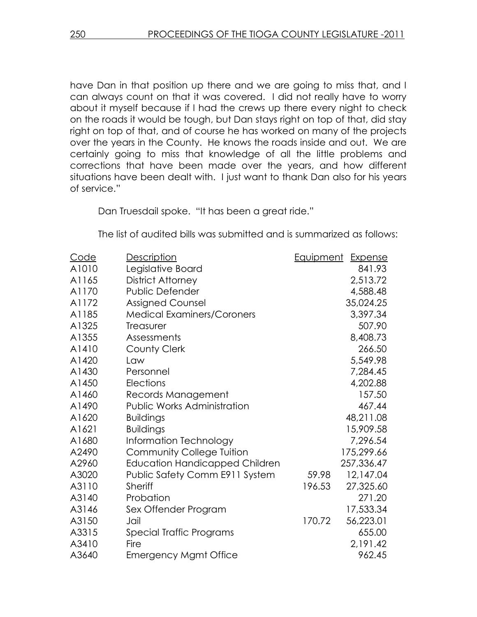have Dan in that position up there and we are going to miss that, and I can always count on that it was covered. I did not really have to worry about it myself because if I had the crews up there every night to check on the roads it would be tough, but Dan stays right on top of that, did stay right on top of that, and of course he has worked on many of the projects over the years in the County. He knows the roads inside and out. We are certainly going to miss that knowledge of all the little problems and corrections that have been made over the years, and how different situations have been dealt with. I just want to thank Dan also for his years of service."

Dan Truesdail spoke. "It has been a great ride."

The list of audited bills was submitted and is summarized as follows:

| Code  | Description                           | <u>Equipment</u> | <b>Expense</b> |
|-------|---------------------------------------|------------------|----------------|
| A1010 | Legislative Board                     |                  | 841.93         |
| A1165 | <b>District Attorney</b>              |                  | 2,513.72       |
| A1170 | Public Defender                       |                  | 4,588.48       |
| A1172 | <b>Assigned Counsel</b>               |                  | 35,024.25      |
| A1185 | <b>Medical Examiners/Coroners</b>     |                  | 3,397.34       |
| A1325 | <b>Treasurer</b>                      |                  | 507.90         |
| A1355 | Assessments                           |                  | 8,408.73       |
| A1410 | County Clerk                          |                  | 266.50         |
| A1420 | Law                                   |                  | 5,549.98       |
| A1430 | Personnel                             |                  | 7,284.45       |
| A1450 | Elections                             |                  | 4,202.88       |
| A1460 | Records Management                    |                  | 157.50         |
| A1490 | Public Works Administration           |                  | 467.44         |
| A1620 | <b>Buildings</b>                      |                  | 48,211.08      |
| A1621 | <b>Buildings</b>                      |                  | 15,909.58      |
| A1680 | Information Technology                |                  | 7,296.54       |
| A2490 | <b>Community College Tuition</b>      |                  | 175,299.66     |
| A2960 | <b>Education Handicapped Children</b> |                  | 257,336.47     |
| A3020 | Public Safety Comm E911 System        | 59.98            | 12,147.04      |
| A3110 | <b>Sheriff</b>                        | 196.53           | 27,325.60      |
| A3140 | Probation                             |                  | 271.20         |
| A3146 | Sex Offender Program                  |                  | 17,533.34      |
| A3150 | Jail                                  | 170.72           | 56,223.01      |
| A3315 | Special Traffic Programs              |                  | 655.00         |
| A3410 | Fire                                  |                  | 2,191.42       |
| A3640 | <b>Emergency Mgmt Office</b>          |                  | 962.45         |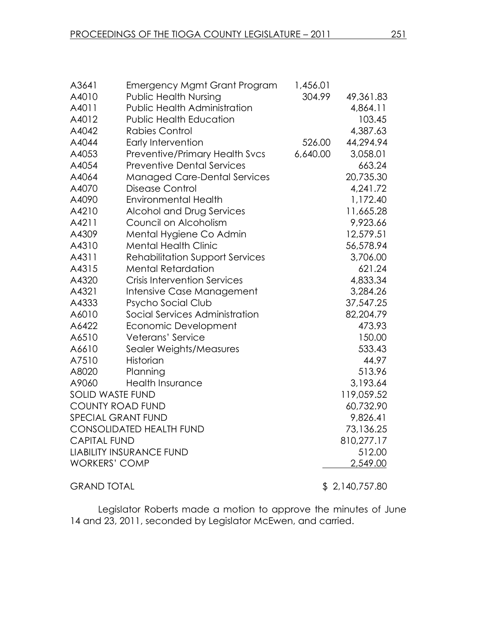| A3641                   | <b>Emergency Mgmt Grant Program</b>    | 1,456.01 |                |
|-------------------------|----------------------------------------|----------|----------------|
| A4010                   | <b>Public Health Nursing</b>           | 304.99   | 49,361.83      |
| A4011                   | <b>Public Health Administration</b>    |          | 4,864.11       |
| A4012                   | <b>Public Health Education</b>         |          | 103.45         |
| A4042                   | Rabies Control                         |          | 4,387.63       |
| A4044                   | Early Intervention                     | 526.00   | 44,294.94      |
| A4053                   | Preventive/Primary Health Svcs         | 6,640.00 | 3,058.01       |
| A4054                   | <b>Preventive Dental Services</b>      |          | 663.24         |
| A4064                   | <b>Managed Care-Dental Services</b>    |          | 20,735.30      |
| A4070                   | <b>Disease Control</b>                 |          | 4,241.72       |
| A4090                   | <b>Environmental Health</b>            |          | 1,172.40       |
| A4210                   | Alcohol and Drug Services              |          | 11,665.28      |
| A4211                   | Council on Alcoholism                  |          | 9,923.66       |
| A4309                   | Mental Hygiene Co Admin                |          | 12,579.51      |
| A4310                   | <b>Mental Health Clinic</b>            |          | 56,578.94      |
| A4311                   | <b>Rehabilitation Support Services</b> |          | 3,706.00       |
| A4315                   | <b>Mental Retardation</b>              |          | 621.24         |
| A4320                   | <b>Crisis Intervention Services</b>    |          | 4,833.34       |
| A4321                   | Intensive Case Management              |          | 3,284.26       |
| A4333                   | Psycho Social Club                     |          | 37,547.25      |
| A6010                   | Social Services Administration         |          | 82,204.79      |
| A6422                   | Economic Development                   |          | 473.93         |
| A6510                   | Veterans' Service                      |          | 150.00         |
| A6610                   | Sealer Weights/Measures                |          | 533.43         |
| A7510                   | Historian                              |          | 44.97          |
| A8020                   | Planning                               |          | 513.96         |
| A9060                   | <b>Health Insurance</b>                |          | 3,193.64       |
| <b>SOLID WASTE FUND</b> |                                        |          | 119,059.52     |
| <b>COUNTY ROAD FUND</b> |                                        |          | 60,732.90      |
|                         | SPECIAL GRANT FUND                     |          | 9,826.41       |
|                         | <b>CONSOLIDATED HEALTH FUND</b>        |          | 73,136.25      |
| <b>CAPITAL FUND</b>     |                                        |          | 810,277.17     |
|                         | <b>LIABILITY INSURANCE FUND</b>        |          | 512.00         |
| <b>WORKERS' COMP</b>    |                                        |          | 2,549.00       |
| <b>GRAND TOTAL</b>      |                                        |          | \$2,140,757.80 |

Legislator Roberts made a motion to approve the minutes of June 14 and 23, 2011, seconded by Legislator McEwen, and carried.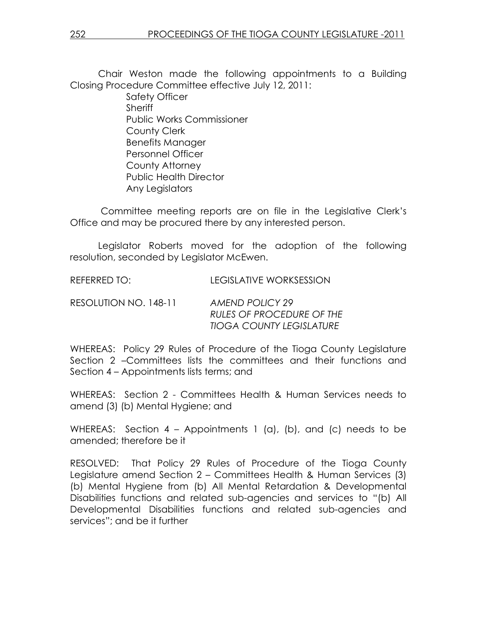Chair Weston made the following appointments to a Building Closing Procedure Committee effective July 12, 2011:

 Safety Officer **Sheriff**  Public Works Commissioner County Clerk Benefits Manager Personnel Officer County Attorney Public Health Director Any Legislators

 Committee meeting reports are on file in the Legislative Clerk's Office and may be procured there by any interested person.

 Legislator Roberts moved for the adoption of the following resolution, seconded by Legislator McEwen.

REFERRED TO: LEGISLATIVE WORKSESSION

RESOLUTION NO. 148-11 AMEND POLICY 29 RULES OF PROCEDURE OF THE TIOGA COUNTY LEGISLATURE

WHEREAS: Policy 29 Rules of Procedure of the Tioga County Legislature Section 2 –Committees lists the committees and their functions and Section 4 – Appointments lists terms; and

WHEREAS: Section 2 - Committees Health & Human Services needs to amend (3) (b) Mental Hygiene; and

WHEREAS: Section 4 – Appointments 1 (a), (b), and (c) needs to be amended; therefore be it

RESOLVED: That Policy 29 Rules of Procedure of the Tioga County Legislature amend Section 2 – Committees Health & Human Services (3) (b) Mental Hygiene from (b) All Mental Retardation & Developmental Disabilities functions and related sub-agencies and services to "(b) All Developmental Disabilities functions and related sub-agencies and services"; and be it further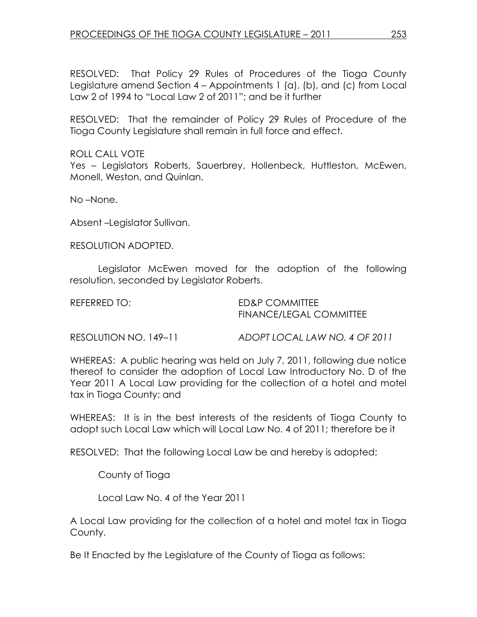RESOLVED: That Policy 29 Rules of Procedures of the Tioga County Legislature amend Section 4 – Appointments 1 (a), (b), and (c) from Local Law 2 of 1994 to "Local Law 2 of 2011"; and be it further

RESOLVED: That the remainder of Policy 29 Rules of Procedure of the Tioga County Legislature shall remain in full force and effect.

ROLL CALL VOTE Yes – Legislators Roberts, Sauerbrey, Hollenbeck, Huttleston, McEwen, Monell, Weston, and Quinlan.

No –None.

Absent –Legislator Sullivan.

RESOLUTION ADOPTED.

 Legislator McEwen moved for the adoption of the following resolution, seconded by Legislator Roberts.

REFERRED TO: ED&P COMMITTEE FINANCE/LEGAL COMMITTEE

RESOLUTION NO. 149–11 ADOPT LOCAL LAW NO. 4 OF 2011

WHEREAS: A public hearing was held on July 7, 2011, following due notice thereof to consider the adoption of Local Law Introductory No. D of the Year 2011 A Local Law providing for the collection of a hotel and motel tax in Tioga County; and

WHEREAS: It is in the best interests of the residents of Tioga County to adopt such Local Law which will Local Law No. 4 of 2011; therefore be it

RESOLVED: That the following Local Law be and hereby is adopted;

County of Tioga

Local Law No. 4 of the Year 2011

A Local Law providing for the collection of a hotel and motel tax in Tioga County.

Be It Enacted by the Legislature of the County of Tioga as follows: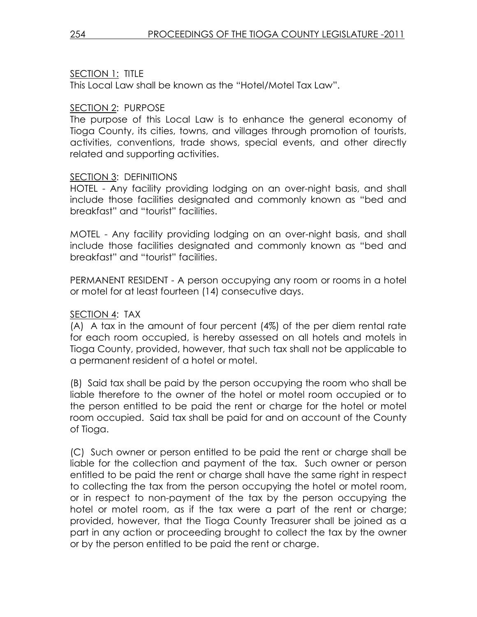# SECTION 1: TITLE

This Local Law shall be known as the "Hotel/Motel Tax Law".

## SECTION 2: PURPOSE

The purpose of this Local Law is to enhance the general economy of Tioga County, its cities, towns, and villages through promotion of tourists, activities, conventions, trade shows, special events, and other directly related and supporting activities.

## SECTION 3: DEFINITIONS

HOTEL - Any facility providing lodging on an over-night basis, and shall include those facilities designated and commonly known as "bed and breakfast" and "tourist" facilities.

MOTEL - Any facility providing lodging on an over-night basis, and shall include those facilities designated and commonly known as "bed and breakfast" and "tourist" facilities.

PERMANENT RESIDENT - A person occupying any room or rooms in a hotel or motel for at least fourteen (14) consecutive days.

# SECTION 4: TAX

(A) A tax in the amount of four percent (4%) of the per diem rental rate for each room occupied, is hereby assessed on all hotels and motels in Tioga County, provided, however, that such tax shall not be applicable to a permanent resident of a hotel or motel.

(B) Said tax shall be paid by the person occupying the room who shall be liable therefore to the owner of the hotel or motel room occupied or to the person entitled to be paid the rent or charge for the hotel or motel room occupied. Said tax shall be paid for and on account of the County of Tioga.

(C) Such owner or person entitled to be paid the rent or charge shall be liable for the collection and payment of the tax. Such owner or person entitled to be paid the rent or charge shall have the same right in respect to collecting the tax from the person occupying the hotel or motel room, or in respect to non-payment of the tax by the person occupying the hotel or motel room, as if the tax were a part of the rent or charge; provided, however, that the Tioga County Treasurer shall be joined as a part in any action or proceeding brought to collect the tax by the owner or by the person entitled to be paid the rent or charge.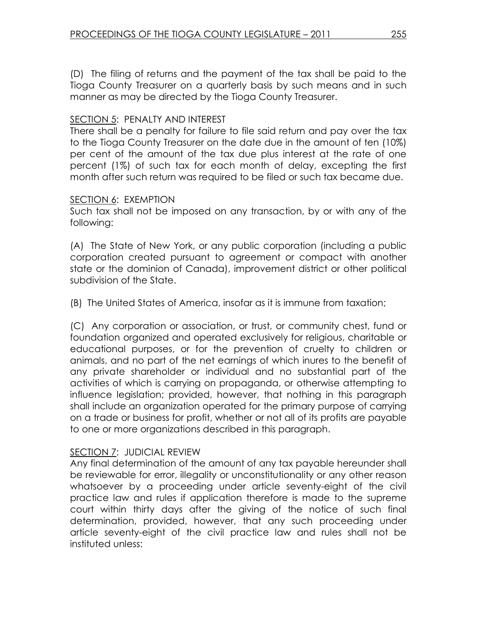(D) The filing of returns and the payment of the tax shall be paid to the Tioga County Treasurer on a quarterly basis by such means and in such manner as may be directed by the Tioga County Treasurer.

## SECTION 5: PENALTY AND INTEREST

There shall be a penalty for failure to file said return and pay over the tax to the Tioga County Treasurer on the date due in the amount of ten (10%) per cent of the amount of the tax due plus interest at the rate of one percent (1%) of such tax for each month of delay, excepting the first month after such return was required to be filed or such tax became due.

### SECTION 6: EXEMPTION

Such tax shall not be imposed on any transaction, by or with any of the following:

(A) The State of New York, or any public corporation (including a public corporation created pursuant to agreement or compact with another state or the dominion of Canada), improvement district or other political subdivision of the State.

(B) The United States of America, insofar as it is immune from taxation;

(C) Any corporation or association, or trust, or community chest, fund or foundation organized and operated exclusively for religious, charitable or educational purposes, or for the prevention of cruelty to children or animals, and no part of the net earnings of which inures to the benefit of any private shareholder or individual and no substantial part of the activities of which is carrying on propaganda, or otherwise attempting to influence legislation; provided, however, that nothing in this paragraph shall include an organization operated for the primary purpose of carrying on a trade or business for profit, whether or not all of its profits are payable to one or more organizations described in this paragraph.

# SECTION 7: JUDICIAL REVIEW

Any final determination of the amount of any tax payable hereunder shall be reviewable for error, illegality or unconstitutionality or any other reason whatsoever by a proceeding under article seventy-eight of the civil practice law and rules if application therefore is made to the supreme court within thirty days after the giving of the notice of such final determination, provided, however, that any such proceeding under article seventy-eight of the civil practice law and rules shall not be instituted unless: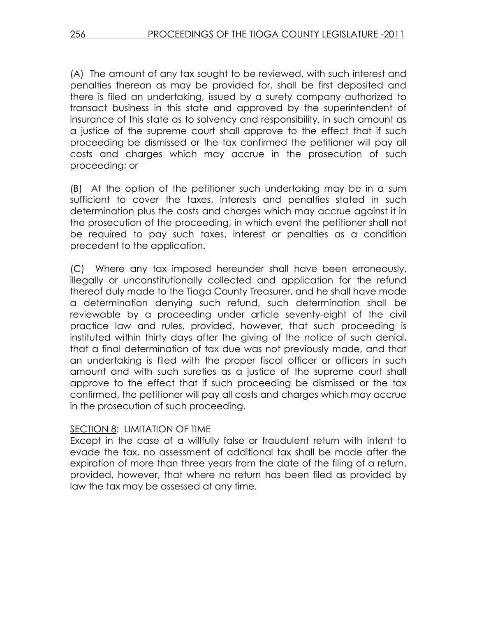(A) The amount of any tax sought to be reviewed, with such interest and penalties thereon as may be provided for, shall be first deposited and there is filed an undertaking, issued by a surety company authorized to transact business in this state and approved by the superintendent of insurance of this state as to solvency and responsibility, in such amount as a justice of the supreme court shall approve to the effect that if such proceeding be dismissed or the tax confirmed the petitioner will pay all costs and charges which may accrue in the prosecution of such proceeding; or

(B) At the option of the petitioner such undertaking may be in a sum sufficient to cover the taxes, interests and penalties stated in such determination plus the costs and charges which may accrue against it in the prosecution of the proceeding, in which event the petitioner shall not be required to pay such taxes, interest or penalties as a condition precedent to the application.

(C) Where any tax imposed hereunder shall have been erroneously, illegally or unconstitutionally collected and application for the refund thereof duly made to the Tioga County Treasurer, and he shall have made a determination denying such refund, such determination shall be reviewable by a proceeding under article seventy-eight of the civil practice law and rules, provided, however, that such proceeding is instituted within thirty days after the giving of the notice of such denial, that a final determination of tax due was not previously made, and that an undertaking is filed with the proper fiscal officer or officers in such amount and with such sureties as a justice of the supreme court shall approve to the effect that if such proceeding be dismissed or the tax confirmed, the petitioner will pay all costs and charges which may accrue in the prosecution of such proceeding.

### SECTION 8: LIMITATION OF TIME

Except in the case of a willfully false or fraudulent return with intent to evade the tax, no assessment of additional tax shall be made after the expiration of more than three years from the date of the filing of a return, provided, however, that where no return has been filed as provided by law the tax may be assessed at any time.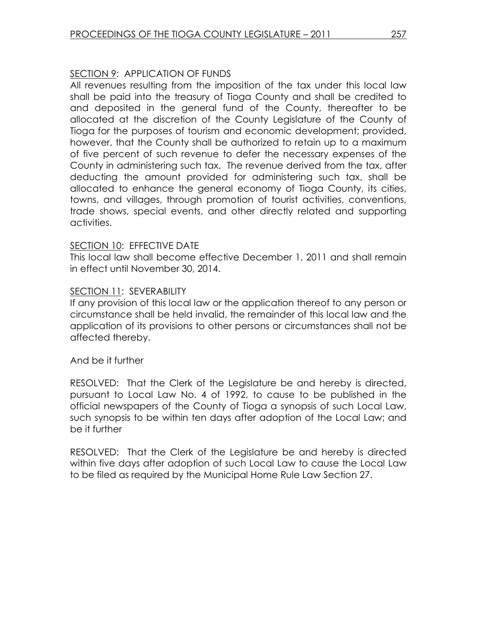# SECTION 9: APPLICATION OF FUNDS

All revenues resulting from the imposition of the tax under this local law shall be paid into the treasury of Tioga County and shall be credited to and deposited in the general fund of the County, thereafter to be allocated at the discretion of the County Legislature of the County of Tioga for the purposes of tourism and economic development; provided, however, that the County shall be authorized to retain up to a maximum of five percent of such revenue to defer the necessary expenses of the County in administering such tax. The revenue derived from the tax, after deducting the amount provided for administering such tax, shall be allocated to enhance the general economy of Tioga County, its cities, towns, and villages, through promotion of tourist activities, conventions, trade shows, special events, and other directly related and supporting activities.

### SECTION 10: EFFECTIVE DATE

This local law shall become effective December 1, 2011 and shall remain in effect until November 30, 2014.

### SECTION 11: SEVERABILITY

If any provision of this local law or the application thereof to any person or circumstance shall be held invalid, the remainder of this local law and the application of its provisions to other persons or circumstances shall not be affected thereby.

And be it further

RESOLVED: That the Clerk of the Legislature be and hereby is directed, pursuant to Local Law No. 4 of 1992, to cause to be published in the official newspapers of the County of Tioga a synopsis of such Local Law, such synopsis to be within ten days after adoption of the Local Law; and be it further

RESOLVED: That the Clerk of the Legislature be and hereby is directed within five days after adoption of such Local Law to cause the Local Law to be filed as required by the Municipal Home Rule Law Section 27.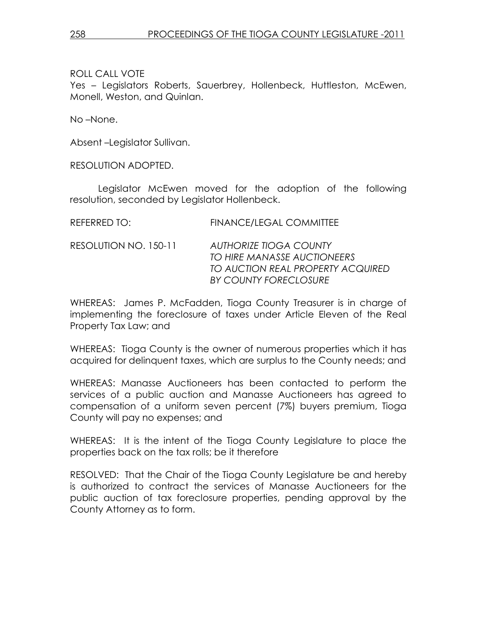## ROLL CALL VOTE

Yes – Legislators Roberts, Sauerbrey, Hollenbeck, Huttleston, McEwen, Monell, Weston, and Quinlan.

No –None.

Absent –Legislator Sullivan.

RESOLUTION ADOPTED.

 Legislator McEwen moved for the adoption of the following resolution, seconded by Legislator Hollenbeck.

| REFERRED TO:          | <b>FINANCE/LEGAL COMMITTEE</b>                                                                                      |
|-----------------------|---------------------------------------------------------------------------------------------------------------------|
| RESOLUTION NO. 150-11 | AUTHORIZE TIOGA COUNTY<br>TO HIRE MANASSE AUCTIONEERS<br>TO AUCTION REAL PROPERTY ACQUIRED<br>BY COUNTY FORECLOSURE |
|                       |                                                                                                                     |

WHEREAS: James P. McFadden, Tioga County Treasurer is in charge of implementing the foreclosure of taxes under Article Eleven of the Real Property Tax Law; and

WHEREAS: Tioga County is the owner of numerous properties which it has acquired for delinquent taxes, which are surplus to the County needs; and

WHEREAS: Manasse Auctioneers has been contacted to perform the services of a public auction and Manasse Auctioneers has agreed to compensation of a uniform seven percent (7%) buyers premium, Tioga County will pay no expenses; and

WHEREAS: It is the intent of the Tioga County Legislature to place the properties back on the tax rolls; be it therefore

RESOLVED: That the Chair of the Tioga County Legislature be and hereby is authorized to contract the services of Manasse Auctioneers for the public auction of tax foreclosure properties, pending approval by the County Attorney as to form.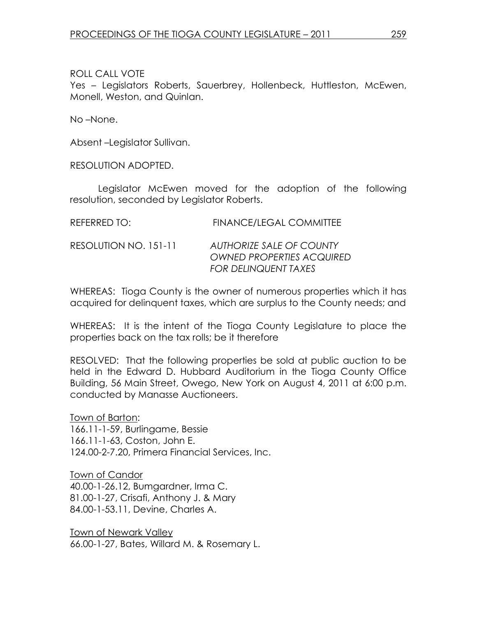ROLL CALL VOTE

Yes – Legislators Roberts, Sauerbrey, Hollenbeck, Huttleston, McEwen, Monell, Weston, and Quinlan.

No –None.

Absent –Legislator Sullivan.

RESOLUTION ADOPTED.

 Legislator McEwen moved for the adoption of the following resolution, seconded by Legislator Roberts.

| REFERRED TO: | <b>FINANCE/LEGAL COMMITTEE</b> |
|--------------|--------------------------------|
|              |                                |

RESOLUTION NO. 151-11 AUTHORIZE SALE OF COUNTY OWNED PROPERTIES ACQUIRED FOR DELINQUENT TAXES

WHEREAS: Tioga County is the owner of numerous properties which it has acquired for delinquent taxes, which are surplus to the County needs; and

WHEREAS: It is the intent of the Tioga County Legislature to place the properties back on the tax rolls; be it therefore

RESOLVED: That the following properties be sold at public auction to be held in the Edward D. Hubbard Auditorium in the Tioga County Office Building, 56 Main Street, Owego, New York on August 4, 2011 at 6:00 p.m. conducted by Manasse Auctioneers.

Town of Barton: 166.11-1-59, Burlingame, Bessie 166.11-1-63, Coston, John E. 124.00-2-7.20, Primera Financial Services, Inc.

Town of Candor 40.00-1-26.12, Bumgardner, Irma C. 81.00-1-27, Crisafi, Anthony J. & Mary 84.00-1-53.11, Devine, Charles A.

Town of Newark Valley 66.00-1-27, Bates, Willard M. & Rosemary L.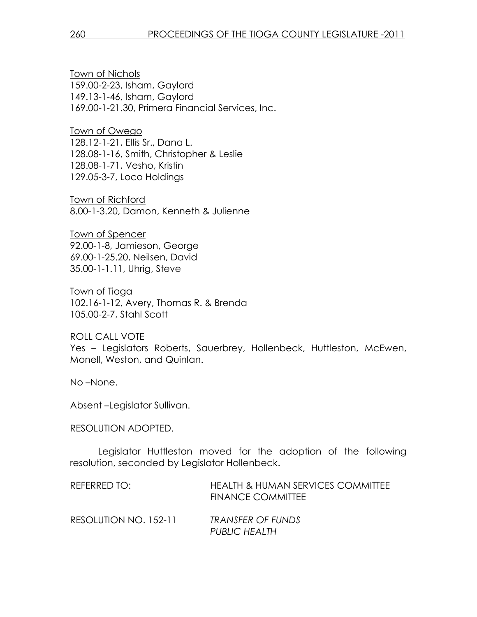Town of Nichols 159.00-2-23, Isham, Gaylord 149.13-1-46, Isham, Gaylord 169.00-1-21.30, Primera Financial Services, Inc.

Town of Owego 128.12-1-21, Ellis Sr., Dana L. 128.08-1-16, Smith, Christopher & Leslie 128.08-1-71, Vesho, Kristin 129.05-3-7, Loco Holdings

Town of Richford 8.00-1-3.20, Damon, Kenneth & Julienne

Town of Spencer 92.00-1-8, Jamieson, George 69.00-1-25.20, Neilsen, David 35.00-1-1.11, Uhrig, Steve

Town of Tioga 102.16-1-12, Avery, Thomas R. & Brenda 105.00-2-7, Stahl Scott

ROLL CALL VOTE Yes – Legislators Roberts, Sauerbrey, Hollenbeck, Huttleston, McEwen, Monell, Weston, and Quinlan.

No –None.

Absent –Legislator Sullivan.

#### RESOLUTION ADOPTED.

 Legislator Huttleston moved for the adoption of the following resolution, seconded by Legislator Hollenbeck.

| REFERRED TO:          | <b>HEALTH &amp; HUMAN SERVICES COMMITTEE</b><br><b>FINANCE COMMITTEE</b> |
|-----------------------|--------------------------------------------------------------------------|
| RESOLUTION NO. 152-11 | TRANSFER OF FUNDS<br>PUBLIC HEALTH                                       |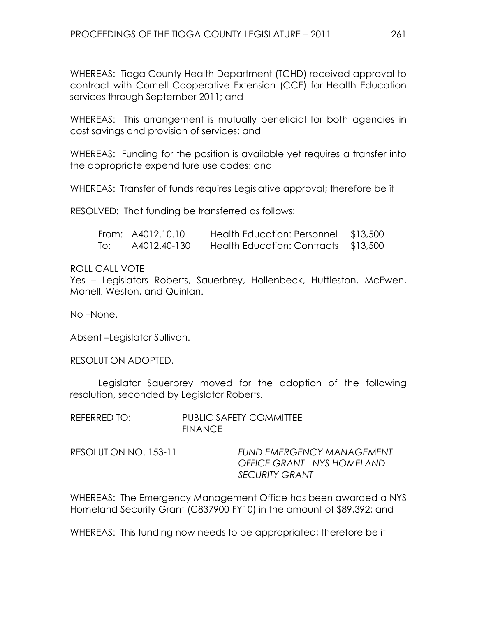WHEREAS: Tioga County Health Department (TCHD) received approval to contract with Cornell Cooperative Extension (CCE) for Health Education services through September 2011; and

WHEREAS: This arrangement is mutually beneficial for both agencies in cost savings and provision of services; and

WHEREAS: Funding for the position is available yet requires a transfer into the appropriate expenditure use codes; and

WHEREAS: Transfer of funds requires Legislative approval; therefore be it

RESOLVED: That funding be transferred as follows:

|     | From: A4012.10.10 | <b>Health Education: Personnel</b>   | \$13,500 |
|-----|-------------------|--------------------------------------|----------|
| To: | A4012.40-130      | Health Education: Contracts \$13,500 |          |

### ROLL CALL VOTE

Yes – Legislators Roberts, Sauerbrey, Hollenbeck, Huttleston, McEwen, Monell, Weston, and Quinlan.

No –None.

Absent –Legislator Sullivan.

RESOLUTION ADOPTED.

 Legislator Sauerbrey moved for the adoption of the following resolution, seconded by Legislator Roberts.

| REFERRED TO:          | <b>PUBLIC SAFETY COMMITTEE</b><br><b>FINANCE</b>                                         |
|-----------------------|------------------------------------------------------------------------------------------|
| RESOLUTION NO. 153-11 | <b>FUND EMERGENCY MANAGEMENT</b><br>OFFICE GRANT - NYS HOMELAND<br><b>SECURITY GRANT</b> |

WHEREAS: The Emergency Management Office has been awarded a NYS Homeland Security Grant (C837900-FY10) in the amount of \$89,392; and

WHEREAS: This funding now needs to be appropriated; therefore be it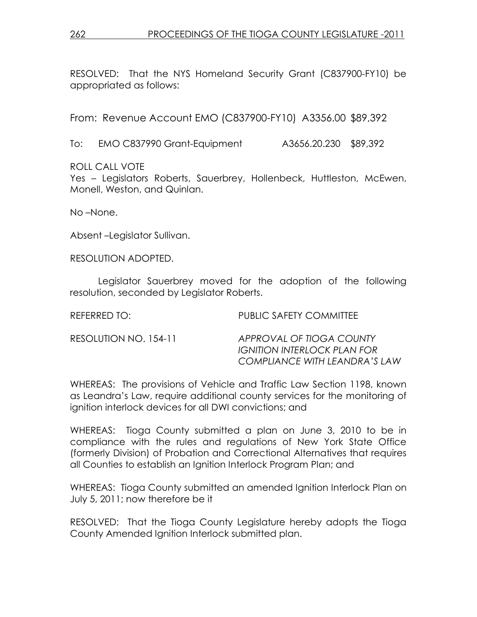RESOLVED: That the NYS Homeland Security Grant (C837900-FY10) be appropriated as follows:

From: Revenue Account EMO (C837900-FY10) A3356.00 \$89,392

To: EMO C837990 Grant-Equipment A3656.20.230 \$89,392

ROLL CALL VOTE

Yes – Legislators Roberts, Sauerbrey, Hollenbeck, Huttleston, McEwen, Monell, Weston, and Quinlan.

No –None.

Absent –Legislator Sullivan.

RESOLUTION ADOPTED.

 Legislator Sauerbrey moved for the adoption of the following resolution, seconded by Legislator Roberts.

| REFERRED TO:          | PUBLIC SAFETY COMMITTEE                                                                  |
|-----------------------|------------------------------------------------------------------------------------------|
| RESOLUTION NO. 154-11 | APPROVAL OF TIOGA COUNTY<br>IGNITION INTERLOCK PLAN FOR<br>COMPLIANCE WITH LEANDRA'S LAW |

WHEREAS: The provisions of Vehicle and Traffic Law Section 1198, known as Leandra's Law, require additional county services for the monitoring of ignition interlock devices for all DWI convictions; and

WHEREAS: Tioga County submitted a plan on June 3, 2010 to be in compliance with the rules and regulations of New York State Office (formerly Division) of Probation and Correctional Alternatives that requires all Counties to establish an Ignition Interlock Program Plan; and

WHEREAS: Tioga County submitted an amended Ignition Interlock Plan on July 5, 2011; now therefore be it

RESOLVED: That the Tioga County Legislature hereby adopts the Tioga County Amended Ignition Interlock submitted plan.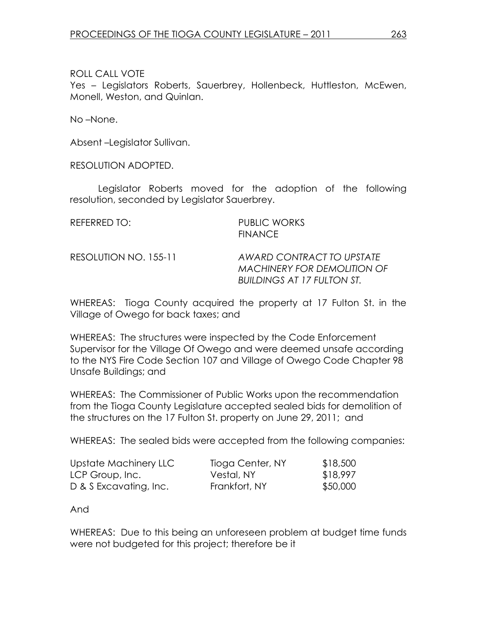ROLL CALL VOTE

Yes – Legislators Roberts, Sauerbrey, Hollenbeck, Huttleston, McEwen, Monell, Weston, and Quinlan.

No –None.

Absent –Legislator Sullivan.

RESOLUTION ADOPTED.

 Legislator Roberts moved for the adoption of the following resolution, seconded by Legislator Sauerbrey.

REFERRED TO: PUBLIC WORKS FINANCE

RESOLUTION NO. 155-11 AWARD CONTRACT TO UPSTATE MACHINERY FOR DEMOLITION OF BUILDINGS AT 17 FULTON ST.

WHEREAS: Tioga County acquired the property at 17 Fulton St. in the Village of Owego for back taxes; and

WHEREAS: The structures were inspected by the Code Enforcement Supervisor for the Village Of Owego and were deemed unsafe according to the NYS Fire Code Section 107 and Village of Owego Code Chapter 98 Unsafe Buildings; and

WHEREAS: The Commissioner of Public Works upon the recommendation from the Tioga County Legislature accepted sealed bids for demolition of the structures on the 17 Fulton St. property on June 29, 2011; and

WHEREAS: The sealed bids were accepted from the following companies:

| Upstate Machinery LLC  | Tioga Center, NY | \$18,500 |
|------------------------|------------------|----------|
| LCP Group, Inc.        | Vestal, NY       | \$18,997 |
| D & S Excavating, Inc. | Frankfort, NY    | \$50,000 |

And

WHEREAS: Due to this being an unforeseen problem at budget time funds were not budgeted for this project; therefore be it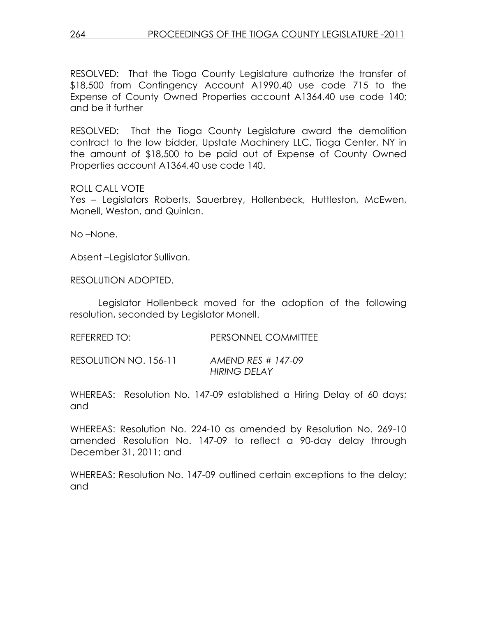RESOLVED: That the Tioga County Legislature authorize the transfer of \$18,500 from Contingency Account A1990.40 use code 715 to the Expense of County Owned Properties account A1364.40 use code 140; and be it further

RESOLVED: That the Tioga County Legislature award the demolition contract to the low bidder, Upstate Machinery LLC, Tioga Center, NY in the amount of \$18,500 to be paid out of Expense of County Owned Properties account A1364.40 use code 140.

ROLL CALL VOTE

Yes – Legislators Roberts, Sauerbrey, Hollenbeck, Huttleston, McEwen, Monell, Weston, and Quinlan.

No –None.

Absent –Legislator Sullivan.

RESOLUTION ADOPTED.

 Legislator Hollenbeck moved for the adoption of the following resolution, seconded by Legislator Monell.

| REFERRED TO: | <b>PERSONNEL COMMITTEE</b> |
|--------------|----------------------------|
|              |                            |

```
RESOLUTION NO. 156-11 AMEND RES # 147-09 
              HIRING DELAY
```
WHEREAS: Resolution No. 147-09 established a Hiring Delay of 60 days; and

WHEREAS: Resolution No. 224-10 as amended by Resolution No. 269-10 amended Resolution No. 147-09 to reflect a 90-day delay through December 31, 2011; and

WHEREAS: Resolution No. 147-09 outlined certain exceptions to the delay; and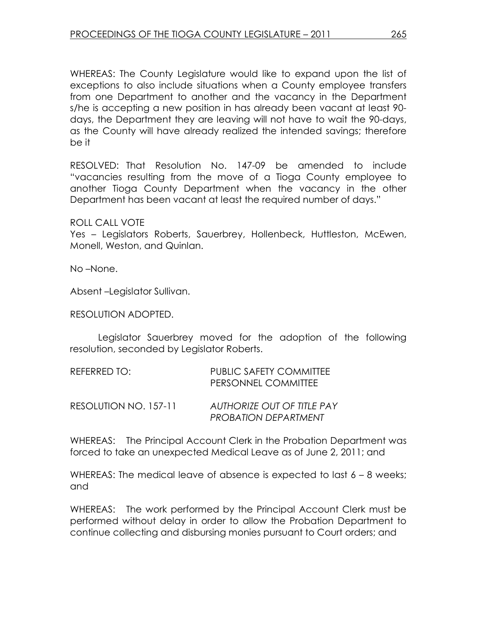WHEREAS: The County Legislature would like to expand upon the list of exceptions to also include situations when a County employee transfers from one Department to another and the vacancy in the Department s/he is accepting a new position in has already been vacant at least 90 days, the Department they are leaving will not have to wait the 90-days, as the County will have already realized the intended savings; therefore be it

RESOLVED: That Resolution No. 147-09 be amended to include "vacancies resulting from the move of a Tioga County employee to another Tioga County Department when the vacancy in the other Department has been vacant at least the required number of days."

ROLL CALL VOTE

Yes – Legislators Roberts, Sauerbrey, Hollenbeck, Huttleston, McEwen, Monell, Weston, and Quinlan.

No –None.

Absent –Legislator Sullivan.

RESOLUTION ADOPTED.

 Legislator Sauerbrey moved for the adoption of the following resolution, seconded by Legislator Roberts.

| REFERRED TO:          | PUBLIC SAFETY COMMITTEE<br>PERSONNEL COMMITTEE                   |
|-----------------------|------------------------------------------------------------------|
| RESOLUTION NO. 157-11 | <b>AUTHORIZE OUT OF TITLE PAY</b><br><b>PROBATION DEPARTMENT</b> |

WHEREAS: The Principal Account Clerk in the Probation Department was forced to take an unexpected Medical Leave as of June 2, 2011; and

WHEREAS: The medical leave of absence is expected to last 6 – 8 weeks; and

WHEREAS: The work performed by the Principal Account Clerk must be performed without delay in order to allow the Probation Department to continue collecting and disbursing monies pursuant to Court orders; and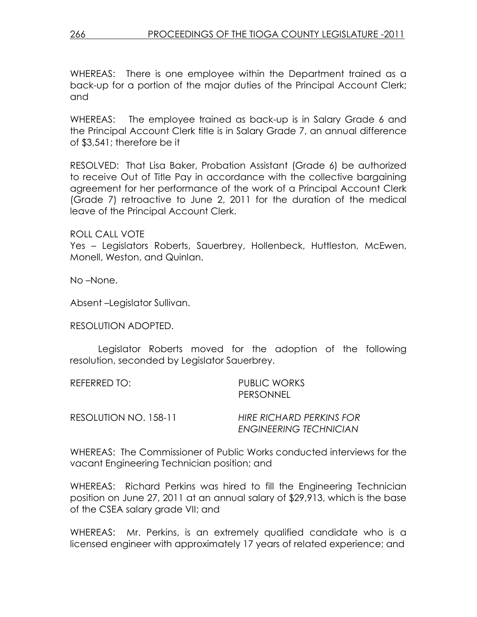WHEREAS: There is one employee within the Department trained as a back-up for a portion of the major duties of the Principal Account Clerk; and

WHEREAS: The employee trained as back-up is in Salary Grade 6 and the Principal Account Clerk title is in Salary Grade 7, an annual difference of \$3,541; therefore be it

RESOLVED: That Lisa Baker, Probation Assistant (Grade 6) be authorized to receive Out of Title Pay in accordance with the collective bargaining agreement for her performance of the work of a Principal Account Clerk (Grade 7) retroactive to June 2, 2011 for the duration of the medical leave of the Principal Account Clerk.

ROLL CALL VOTE

Yes – Legislators Roberts, Sauerbrey, Hollenbeck, Huttleston, McEwen, Monell, Weston, and Quinlan.

No –None.

Absent –Legislator Sullivan.

RESOLUTION ADOPTED.

 Legislator Roberts moved for the adoption of the following resolution, seconded by Legislator Sauerbrey.

REFERRED TO: PUBLIC WORKS PERSONNEL

RESOLUTION NO. 158-11 HIRE RICHARD PERKINS FOR

ENGINEERING TECHNICIAN

WHEREAS: The Commissioner of Public Works conducted interviews for the vacant Engineering Technician position; and

WHEREAS: Richard Perkins was hired to fill the Engineering Technician position on June 27, 2011 at an annual salary of \$29,913, which is the base of the CSEA salary grade VII; and

WHEREAS: Mr. Perkins, is an extremely qualified candidate who is a licensed engineer with approximately 17 years of related experience; and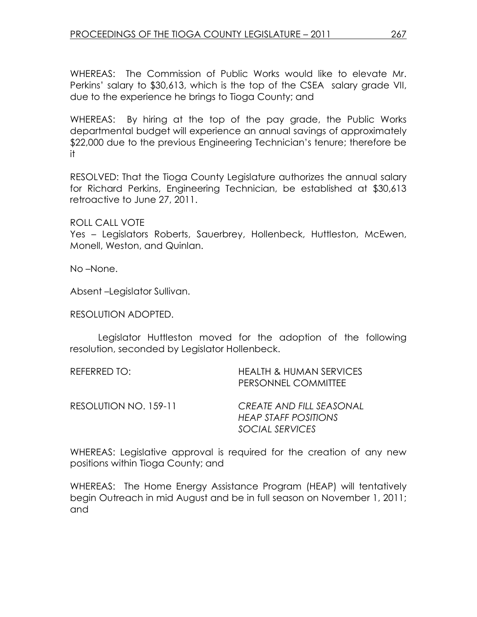WHEREAS: The Commission of Public Works would like to elevate Mr. Perkins' salary to \$30,613, which is the top of the CSEA salary grade VII, due to the experience he brings to Tioga County; and

WHEREAS: By hiring at the top of the pay grade, the Public Works departmental budget will experience an annual savings of approximately \$22,000 due to the previous Engineering Technician's tenure; therefore be it

RESOLVED: That the Tioga County Legislature authorizes the annual salary for Richard Perkins, Engineering Technician, be established at \$30,613 retroactive to June 27, 2011.

ROLL CALL VOTE

Yes – Legislators Roberts, Sauerbrey, Hollenbeck, Huttleston, McEwen, Monell, Weston, and Quinlan.

No –None.

Absent –Legislator Sullivan.

RESOLUTION ADOPTED.

 Legislator Huttleston moved for the adoption of the following resolution, seconded by Legislator Hollenbeck.

| <b>HEALTH &amp; HUMAN SERVICES</b><br>PERSONNEL COMMITTEE           |
|---------------------------------------------------------------------|
| CREATE AND FILL SEASONAL<br>HEAP STAFF POSITIONS<br>SOCIAL SERVICES |
|                                                                     |

WHEREAS: Legislative approval is required for the creation of any new positions within Tioga County; and

WHEREAS: The Home Energy Assistance Program (HEAP) will tentatively begin Outreach in mid August and be in full season on November 1, 2011; and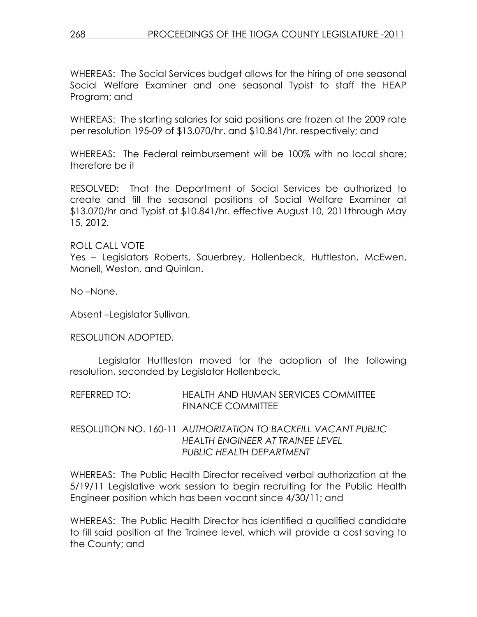WHEREAS: The Social Services budget allows for the hiring of one seasonal Social Welfare Examiner and one seasonal Typist to staff the HEAP Program; and

WHEREAS: The starting salaries for said positions are frozen at the 2009 rate per resolution 195-09 of \$13.070/hr. and \$10.841/hr. respectively; and

WHEREAS: The Federal reimbursement will be 100% with no local share; therefore be it

RESOLVED: That the Department of Social Services be authorized to create and fill the seasonal positions of Social Welfare Examiner at \$13.070/hr and Typist at \$10.841/hr. effective August 10, 2011through May 15, 2012.

### ROLL CALL VOTE

Yes – Legislators Roberts, Sauerbrey, Hollenbeck, Huttleston, McEwen, Monell, Weston, and Quinlan.

No –None.

Absent –Legislator Sullivan.

#### RESOLUTION ADOPTED.

 Legislator Huttleston moved for the adoption of the following resolution, seconded by Legislator Hollenbeck.

| REFERRED TO: | <b>HEALTH AND HUMAN SERVICES COMMITTEE</b> |
|--------------|--------------------------------------------|
|              | <b>FINANCE COMMITTEE</b>                   |

### RESOLUTION NO. 160-11 AUTHORIZATION TO BACKFILL VACANT PUBLIC HEALTH ENGINEER AT TRAINEE LEVEL PUBLIC HEALTH DEPARTMENT

WHEREAS: The Public Health Director received verbal authorization at the 5/19/11 Legislative work session to begin recruiting for the Public Health Engineer position which has been vacant since 4/30/11; and

WHEREAS: The Public Health Director has identified a qualified candidate to fill said position at the Trainee level, which will provide a cost saving to the County; and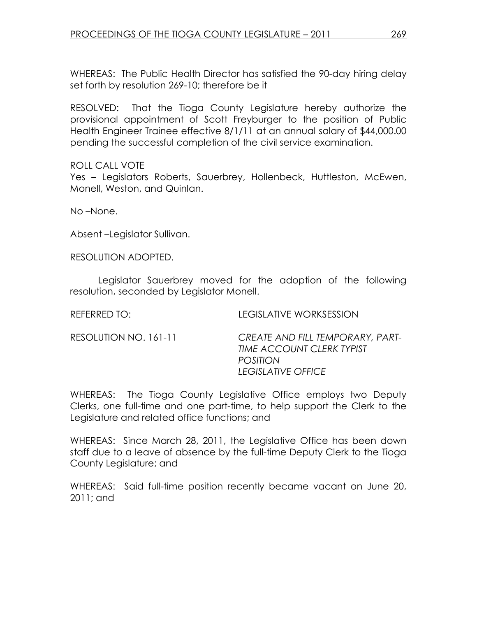WHEREAS: The Public Health Director has satisfied the 90-day hiring delay set forth by resolution 269-10; therefore be it

RESOLVED: That the Tioga County Legislature hereby authorize the provisional appointment of Scott Freyburger to the position of Public Health Engineer Trainee effective 8/1/11 at an annual salary of \$44,000.00 pending the successful completion of the civil service examination.

#### ROLL CALL VOTE

Yes – Legislators Roberts, Sauerbrey, Hollenbeck, Huttleston, McEwen, Monell, Weston, and Quinlan.

No –None.

Absent –Legislator Sullivan.

RESOLUTION ADOPTED.

 Legislator Sauerbrey moved for the adoption of the following resolution, seconded by Legislator Monell.

REFERRED TO: LEGISLATIVE WORKSESSION

RESOLUTION NO. 161-11 CREATE AND FILL TEMPORARY, PART-TIME ACCOUNT CLERK TYPIST POSITION LEGISLATIVE OFFICE

WHEREAS: The Tioga County Legislative Office employs two Deputy Clerks, one full-time and one part-time, to help support the Clerk to the Legislature and related office functions; and

WHEREAS: Since March 28, 2011, the Legislative Office has been down staff due to a leave of absence by the full-time Deputy Clerk to the Tioga County Legislature; and

WHEREAS: Said full-time position recently became vacant on June 20, 2011; and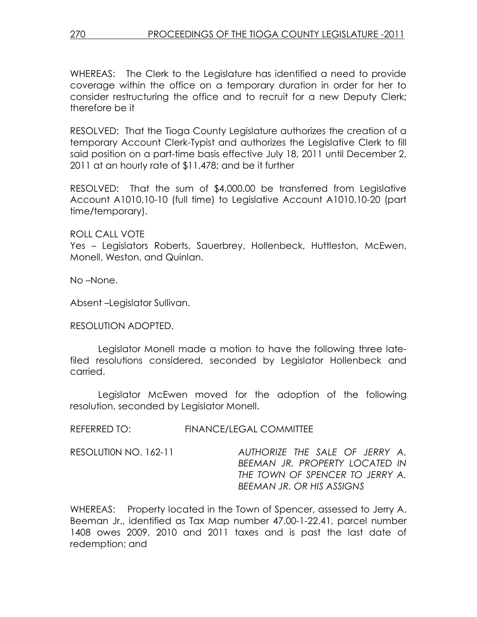WHEREAS: The Clerk to the Legislature has identified a need to provide coverage within the office on a temporary duration in order for her to consider restructuring the office and to recruit for a new Deputy Clerk; therefore be it

RESOLVED: That the Tioga County Legislature authorizes the creation of a temporary Account Clerk-Typist and authorizes the Legislative Clerk to fill said position on a part-time basis effective July 18, 2011 until December 2, 2011 at an hourly rate of \$11.478; and be it further

RESOLVED: That the sum of \$4,000.00 be transferred from Legislative Account A1010.10-10 (full time) to Legislative Account A1010.10-20 (part time/temporary).

### ROLL CALL VOTE

Yes – Legislators Roberts, Sauerbrey, Hollenbeck, Huttleston, McEwen, Monell, Weston, and Quinlan.

No –None.

Absent –Legislator Sullivan.

### RESOLUTION ADOPTED.

 Legislator Monell made a motion to have the following three latefiled resolutions considered, seconded by Legislator Hollenbeck and carried.

 Legislator McEwen moved for the adoption of the following resolution, seconded by Legislator Monell.

REFERRED TO: FINANCE/LEGAL COMMITTEE

RESOLUTI0N NO. 162-11 AUTHORIZE THE SALE OF JERRY A. BEEMAN JR. PROPERTY LOCATED IN THE TOWN OF SPENCER TO JERRY A. BEEMAN JR. OR HIS ASSIGNS

WHEREAS: Property located in the Town of Spencer, assessed to Jerry A. Beeman Jr., identified as Tax Map number 47.00-1-22.41, parcel number 1408 owes 2009, 2010 and 2011 taxes and is past the last date of redemption; and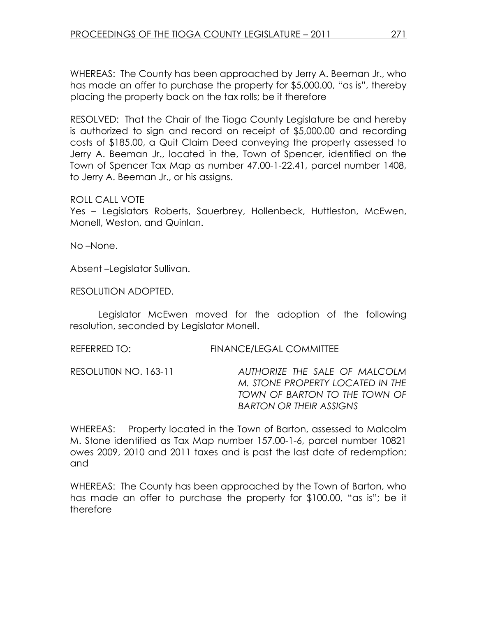WHEREAS: The County has been approached by Jerry A. Beeman Jr., who has made an offer to purchase the property for \$5,000.00, "as is", thereby placing the property back on the tax rolls; be it therefore

RESOLVED: That the Chair of the Tioga County Legislature be and hereby is authorized to sign and record on receipt of \$5,000.00 and recording costs of \$185.00, a Quit Claim Deed conveying the property assessed to Jerry A. Beeman Jr., located in the, Town of Spencer, identified on the Town of Spencer Tax Map as number 47.00-1-22.41, parcel number 1408, to Jerry A. Beeman Jr., or his assigns.

### ROLL CALL VOTE

Yes – Legislators Roberts, Sauerbrey, Hollenbeck, Huttleston, McEwen, Monell, Weston, and Quinlan.

No –None.

Absent –Legislator Sullivan.

RESOLUTION ADOPTED.

 Legislator McEwen moved for the adoption of the following resolution, seconded by Legislator Monell.

#### REFERRED TO: FINANCE/LEGAL COMMITTEE

RESOLUTI0N NO. 163-11 AUTHORIZE THE SALE OF MALCOLM M. STONE PROPERTY LOCATED IN THE TOWN OF BARTON TO THE TOWN OF BARTON OR THEIR ASSIGNS

WHEREAS: Property located in the Town of Barton, assessed to Malcolm M. Stone identified as Tax Map number 157.00-1-6, parcel number 10821 owes 2009, 2010 and 2011 taxes and is past the last date of redemption; and

WHEREAS: The County has been approached by the Town of Barton, who has made an offer to purchase the property for \$100.00, "as is"; be it therefore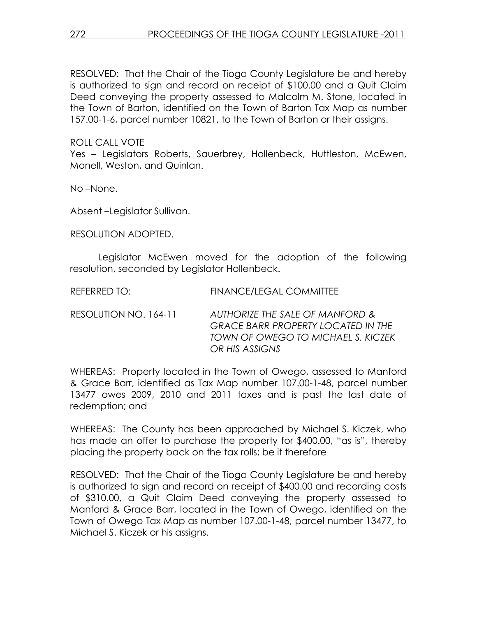RESOLVED: That the Chair of the Tioga County Legislature be and hereby is authorized to sign and record on receipt of \$100.00 and a Quit Claim Deed conveying the property assessed to Malcolm M. Stone, located in the Town of Barton, identified on the Town of Barton Tax Map as number 157.00-1-6, parcel number 10821, to the Town of Barton or their assigns.

## ROLL CALL VOTE

Yes - Legislators Roberts, Sauerbrey, Hollenbeck, Huttleston, McEwen. Monell, Weston, and Quinlan.

No –None.

Absent –Legislator Sullivan.

RESOLUTION ADOPTED.

 Legislator McEwen moved for the adoption of the following resolution, seconded by Legislator Hollenbeck.

| REFERRED TO:          | <b>FINANCE/LEGAL COMMITTEE</b>                                                                                                       |
|-----------------------|--------------------------------------------------------------------------------------------------------------------------------------|
| RESOLUTION NO. 164-11 | AUTHORIZE THE SALE OF MANFORD &<br><b>GRACE BARR PROPERTY LOCATED IN THE</b><br>TOWN OF OWEGO TO MICHAEL S. KICZEK<br>OR HIS ASSIGNS |

WHEREAS: Property located in the Town of Owego, assessed to Manford & Grace Barr, identified as Tax Map number 107.00-1-48, parcel number 13477 owes 2009, 2010 and 2011 taxes and is past the last date of redemption; and

WHEREAS: The County has been approached by Michael S. Kiczek, who has made an offer to purchase the property for \$400.00, "as is", thereby placing the property back on the tax rolls; be it therefore

RESOLVED: That the Chair of the Tioga County Legislature be and hereby is authorized to sign and record on receipt of \$400.00 and recording costs of \$310.00, a Quit Claim Deed conveying the property assessed to Manford & Grace Barr, located in the Town of Owego, identified on the Town of Owego Tax Map as number 107.00-1-48, parcel number 13477, to Michael S. Kiczek or his assigns.